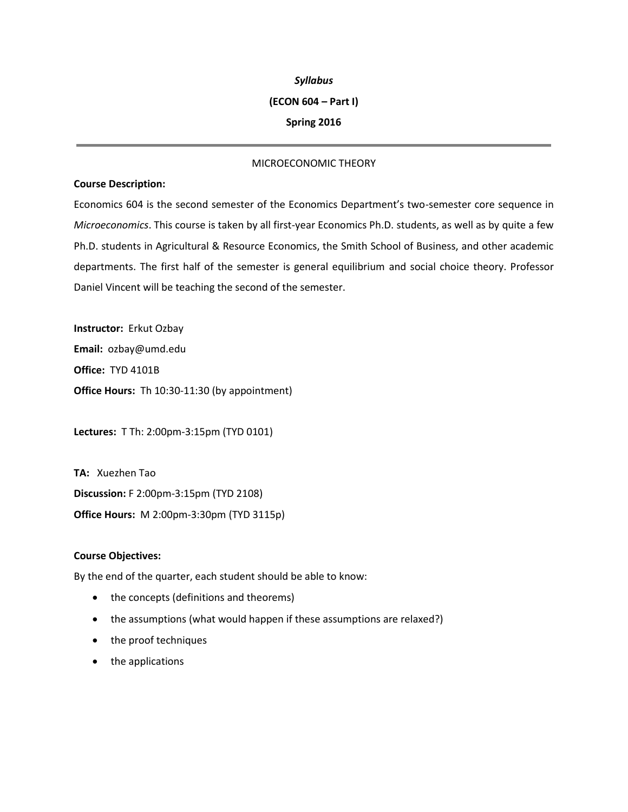### *Syllabus*

### **(ECON 604 – Part I)**

## **Spring 2016**

# MICROECONOMIC THEORY

## **Course Description:**

Economics 604 is the second semester of the Economics Department's two-semester core sequence in *Microeconomics*. This course is taken by all first-year Economics Ph.D. students, as well as by quite a few Ph.D. students in Agricultural & Resource Economics, the Smith School of Business, and other academic departments. The first half of the semester is general equilibrium and social choice theory. Professor Daniel Vincent will be teaching the second of the semester.

**Instructor:** Erkut Ozbay **Email:** ozbay@umd.edu **Office:** TYD 4101B **Office Hours:** Th 10:30-11:30 (by appointment)

**Lectures:** T Th: 2:00pm-3:15pm (TYD 0101)

**TA:** Xuezhen Tao **Discussion:** F 2:00pm-3:15pm (TYD 2108) **Office Hours:** M 2:00pm-3:30pm (TYD 3115p)

## **Course Objectives:**

By the end of the quarter, each student should be able to know:

- the concepts (definitions and theorems)
- the assumptions (what would happen if these assumptions are relaxed?)
- the proof techniques
- the applications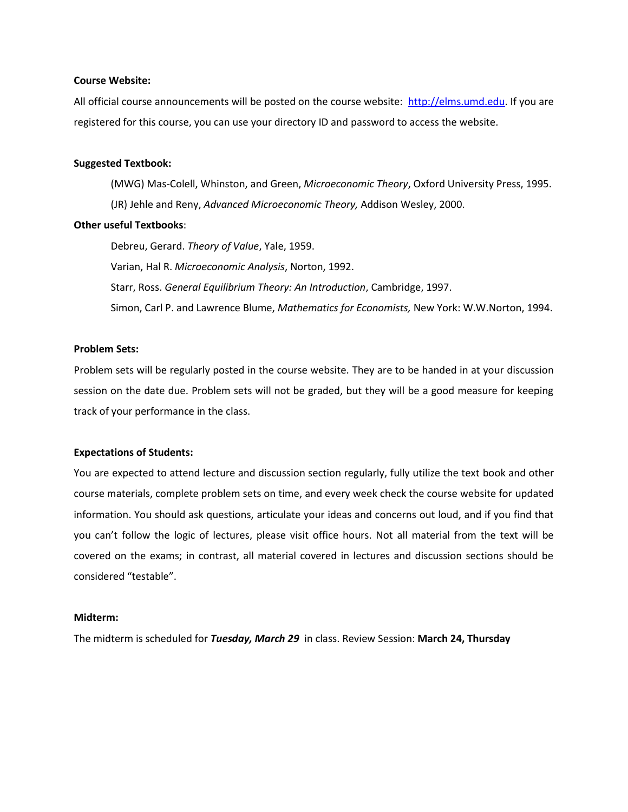### **Course Website:**

All official course announcements will be posted on the course website: [http://elms.umd.edu.](http://elms.umd.edu/) If you are registered for this course, you can use your directory ID and password to access the website.

#### **Suggested Textbook:**

(MWG) Mas-Colell, Whinston, and Green, *Microeconomic Theory*, Oxford University Press, 1995. (JR) Jehle and Reny, *Advanced Microeconomic Theory,* Addison Wesley, 2000.

## **Other useful Textbooks**:

Debreu, Gerard. *Theory of Value*, Yale, 1959. Varian, Hal R. *Microeconomic Analysis*, Norton, 1992. Starr, Ross. *General Equilibrium Theory: An Introduction*, Cambridge, 1997. Simon, Carl P. and Lawrence Blume, *Mathematics for Economists,* New York: W.W.Norton, 1994.

## **Problem Sets:**

Problem sets will be regularly posted in the course website. They are to be handed in at your discussion session on the date due. Problem sets will not be graded, but they will be a good measure for keeping track of your performance in the class.

### **Expectations of Students:**

You are expected to attend lecture and discussion section regularly, fully utilize the text book and other course materials, complete problem sets on time, and every week check the course website for updated information. You should ask questions, articulate your ideas and concerns out loud, and if you find that you can't follow the logic of lectures, please visit office hours. Not all material from the text will be covered on the exams; in contrast, all material covered in lectures and discussion sections should be considered "testable".

#### **Midterm:**

The midterm is scheduled for *Tuesday, March 29* in class. Review Session: **March 24, Thursday**